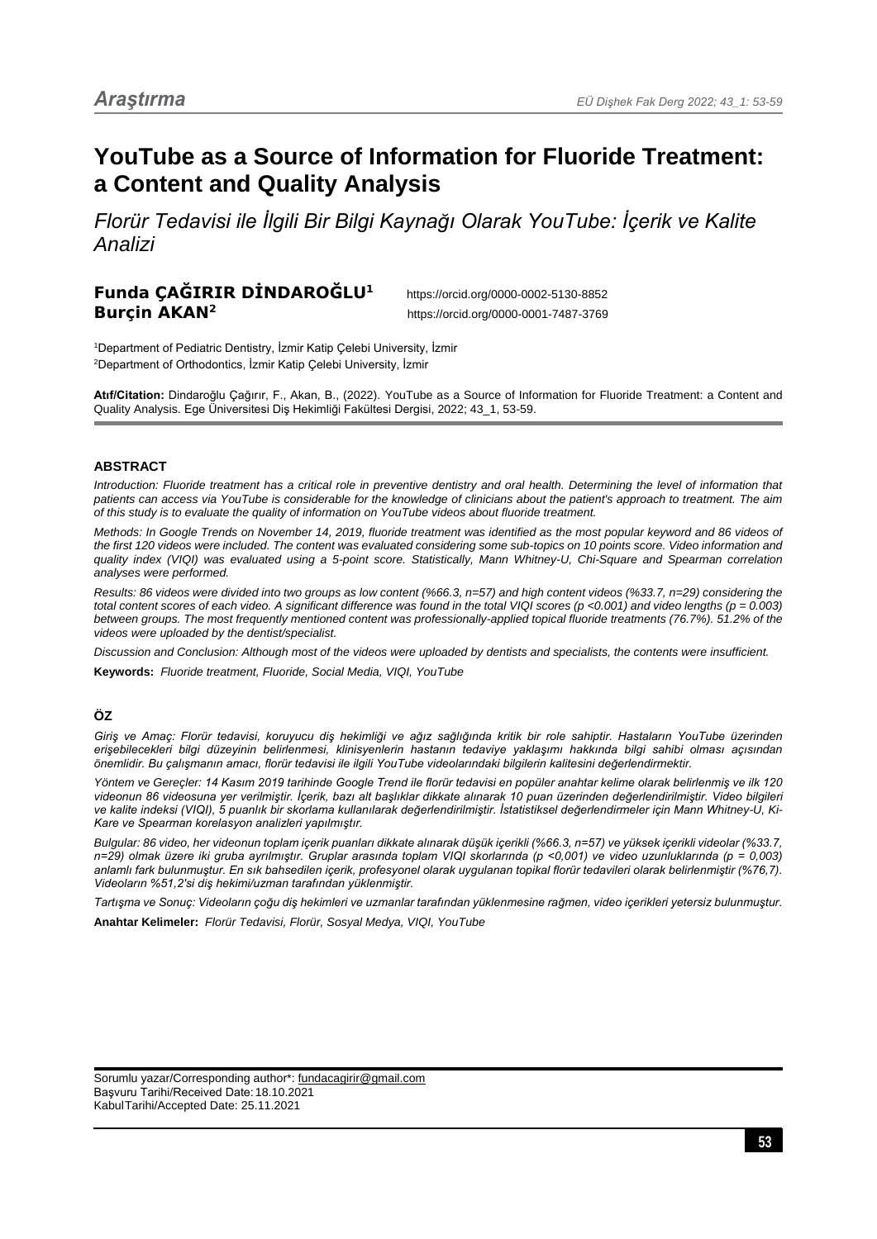# **YouTube as a Source of Information for Fluoride Treatment: a Content and Quality Analysis**

*Florür Tedavisi ile İlgili Bir Bilgi Kaynağı Olarak YouTube: İçerik ve Kalite Analizi*

# **Funda ÇAĞIRIR DİNDAROĞLU<sup>1</sup>** https://orcid.org/0000-0002-5130-8852 **Burçin AKAN<sup>2</sup>** https://orcid.org/0000-0001-7487-3769

1 Department of Pediatric Dentistry, İzmir Katip Çelebi University, İzmir 2 Department of Orthodontics, İzmir Katip Çelebi University, İzmir

**Atıf/Citation:** Dindaroğlu Çağırır, F., Akan, B., (2022). YouTube as a Source of Information for Fluoride Treatment: a Content and Quality Analysis. Ege Üniversitesi Diş Hekimliği Fakültesi Dergisi, 2022; 43\_1, 53-59.

## **ABSTRACT**

*Introduction: Fluoride treatment has a critical role in preventive dentistry and oral health. Determining the level of information that patients can access via YouTube is considerable for the knowledge of clinicians about the patient's approach to treatment. The aim of this study is to evaluate the quality of information on YouTube videos about fluoride treatment.*

*Methods: In Google Trends on November 14, 2019, fluoride treatment was identified as the most popular keyword and 86 videos of the first 120 videos were included. The content was evaluated considering some sub-topics on 10 points score. Video information and quality index (VIQI) was evaluated using a 5-point score. Statistically, Mann Whitney-U, Chi-Square and Spearman correlation analyses were performed.*

*Results: 86 videos were divided into two groups as low content (%66.3, n=57) and high content videos (%33.7, n=29) considering the total content scores of each video. A significant difference was found in the total VIQI scores (p <0.001) and video lengths (p = 0.003) between groups. The most frequently mentioned content was professionally-applied topical fluoride treatments (76.7%). 51.2% of the videos were uploaded by the dentist/specialist.*

*Discussion and Conclusion: Although most of the videos were uploaded by dentists and specialists, the contents were insufficient.*

**Keywords:** *Fluoride treatment, Fluoride, Social Media, VIQI, YouTube*

# **ÖZ**

*Giriş ve Amaç: Florür tedavisi, koruyucu diş hekimliği ve ağız sağlığında kritik bir role sahiptir. Hastaların YouTube üzerinden erişebilecekleri bilgi düzeyinin belirlenmesi, klinisyenlerin hastanın tedaviye yaklaşımı hakkında bilgi sahibi olması açısından önemlidir. Bu çalışmanın amacı, florür tedavisi ile ilgili YouTube videolarındaki bilgilerin kalitesini değerlendirmektir.*

*Yöntem ve Gereçler: 14 Kasım 2019 tarihinde Google Trend ile florür tedavisi en popüler anahtar kelime olarak belirlenmiş ve ilk 120 videonun 86 videosuna yer verilmiştir. İçerik, bazı alt başlıklar dikkate alınarak 10 puan üzerinden değerlendirilmiştir. Video bilgileri ve kalite indeksi (VIQI), 5 puanlık bir skorlama kullanılarak değerlendirilmiştir. İstatistiksel değerlendirmeler için Mann Whitney-U, Ki-Kare ve Spearman korelasyon analizleri yapılmıştır.*

*Bulgular: 86 video, her videonun toplam içerik puanları dikkate alınarak düşük içerikli (%66.3, n=57) ve yüksek içerikli videolar (%33.7, n=29) olmak üzere iki gruba ayrılmıştır. Gruplar arasında toplam VIQI skorlarında (p <0,001) ve video uzunluklarında (p = 0,003) anlamlı fark bulunmuştur. En sık bahsedilen içerik, profesyonel olarak uygulanan topikal florür tedavileri olarak belirlenmiştir (%76,7). Videoların %51,2'si diş hekimi/uzman tarafından yüklenmiştir.*

*Tartışma ve Sonuç: Videoların çoğu diş hekimleri ve uzmanlar tarafından yüklenmesine rağmen, video içerikleri yetersiz bulunmuştur.*

**Anahtar Kelimeler:** *Florür Tedavisi, Florür, Sosyal Medya, VIQI, YouTube*

Sorumlu yazar/Corresponding author\*: fundacagirir@gmail.com Başvuru Tarihi/Received Date: 18.10.2021 KabulTarihi/Accepted Date: 25.11.2021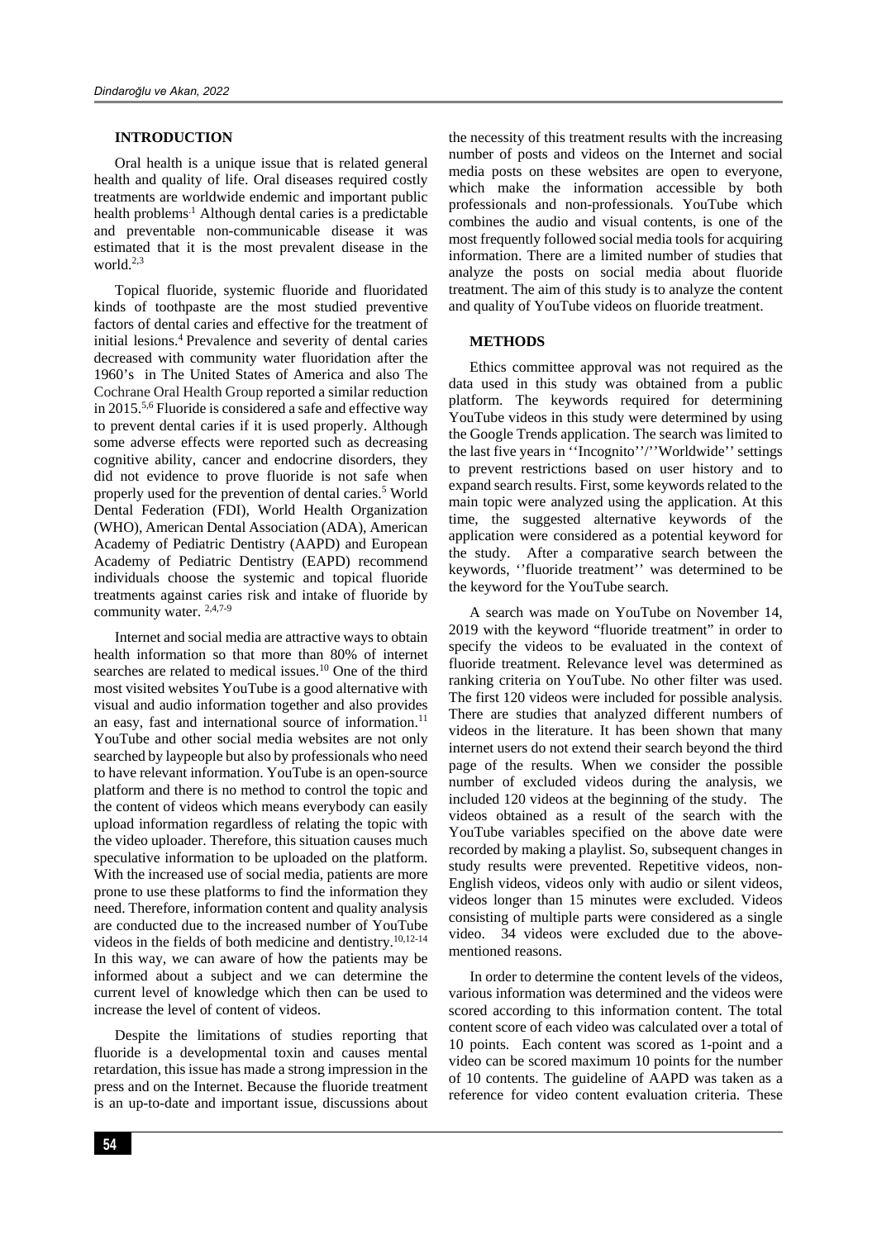### **INTRODUCTION**

Oral health is a unique issue that is related general health and quality of life. Oral diseases required costly treatments are worldwide endemic and important public health problems<sup>1</sup> Although dental caries is a predictable and preventable non-communicable disease it was estimated that it is the most prevalent disease in the world. 2,3

Topical fluoride, systemic fluoride and fluoridated kinds of toothpaste are the most studied preventive factors of dental caries and effective for the treatment of initial lesions. <sup>4</sup> Prevalence and severity of dental caries decreased with community water fluoridation after the 1960's in The United States of America and also The Cochrane Oral Health Group reported a similar reduction in 2015.<sup>5,6</sup> Fluoride is considered a safe and effective way to prevent dental caries if it is used properly. Although some adverse effects were reported such as decreasing cognitive ability, cancer and endocrine disorders, they did not evidence to prove fluoride is not safe when properly used for the prevention of dental caries. <sup>5</sup> World Dental Federation (FDI), World Health Organization (WHO), American Dental Association (ADA), American Academy of Pediatric Dentistry (AAPD) and European Academy of Pediatric Dentistry (EAPD) recommend individuals choose the systemic and topical fluoride treatments against caries risk and intake of fluoride by community water.  $2,4,7-9$ 

Internet and social media are attractive ways to obtain health information so that more than 80% of internet searches are related to medical issues. <sup>10</sup> One of the third most visited websites YouTube is a good alternative with visual and audio information together and also provides an easy, fast and international source of information. $11$ YouTube and other social media websites are not only searched by laypeople but also by professionals who need to have relevant information. YouTube is an open-source platform and there is no method to control the topic and the content of videos which means everybody can easily upload information regardless of relating the topic with the video uploader. Therefore, this situation causes much speculative information to be uploaded on the platform. With the increased use of social media, patients are more prone to use these platforms to find the information they need. Therefore, information content and quality analysis are conducted due to the increased number of YouTube videos in the fields of both medicine and dentistry. 10,12-14 In this way, we can aware of how the patients may be informed about a subject and we can determine the current level of knowledge which then can be used to increase the level of content of videos.

Despite the limitations of studies reporting that fluoride is a developmental toxin and causes mental retardation, this issue has made a strong impression in the press and on the Internet. Because the fluoride treatment is an up-to-date and important issue, discussions about the necessity of this treatment results with the increasing number of posts and videos on the Internet and social media posts on these websites are open to everyone, which make the information accessible by both professionals and non-professionals. YouTube which combines the audio and visual contents, is one of the most frequently followed social media tools for acquiring information. There are a limited number of studies that analyze the posts on social media about fluoride treatment. The aim of this study is to analyze the content and quality of YouTube videos on fluoride treatment.

#### **METHODS**

Ethics committee approval was not required as the data used in this study was obtained from a public platform. The keywords required for determining YouTube videos in this study were determined by using the Google Trends application. The search was limited to the last five years in ''Incognito''/''Worldwide'' settings to prevent restrictions based on user history and to expand search results. First, some keywords related to the main topic were analyzed using the application. At this time, the suggested alternative keywords of the application were considered as a potential keyword for the study. After a comparative search between the keywords, ''fluoride treatment'' was determined to be the keyword for the YouTube search.

A search was made on YouTube on November 14, 2019 with the keyword "fluoride treatment" in order to specify the videos to be evaluated in the context of fluoride treatment. Relevance level was determined as ranking criteria on YouTube. No other filter was used. The first 120 videos were included for possible analysis. There are studies that analyzed different numbers of videos in the literature. It has been shown that many internet users do not extend their search beyond the third page of the results. When we consider the possible number of excluded videos during the analysis, we included 120 videos at the beginning of the study. The videos obtained as a result of the search with the YouTube variables specified on the above date were recorded by making a playlist. So, subsequent changes in study results were prevented. Repetitive videos, non-English videos, videos only with audio or silent videos, videos longer than 15 minutes were excluded. Videos consisting of multiple parts were considered as a single video. 34 videos were excluded due to the abovementioned reasons.

In order to determine the content levels of the videos, various information was determined and the videos were scored according to this information content. The total content score of each video was calculated over a total of 10 points. Each content was scored as 1-point and a video can be scored maximum 10 points for the number of 10 contents. The guideline of AAPD was taken as a reference for video content evaluation criteria. These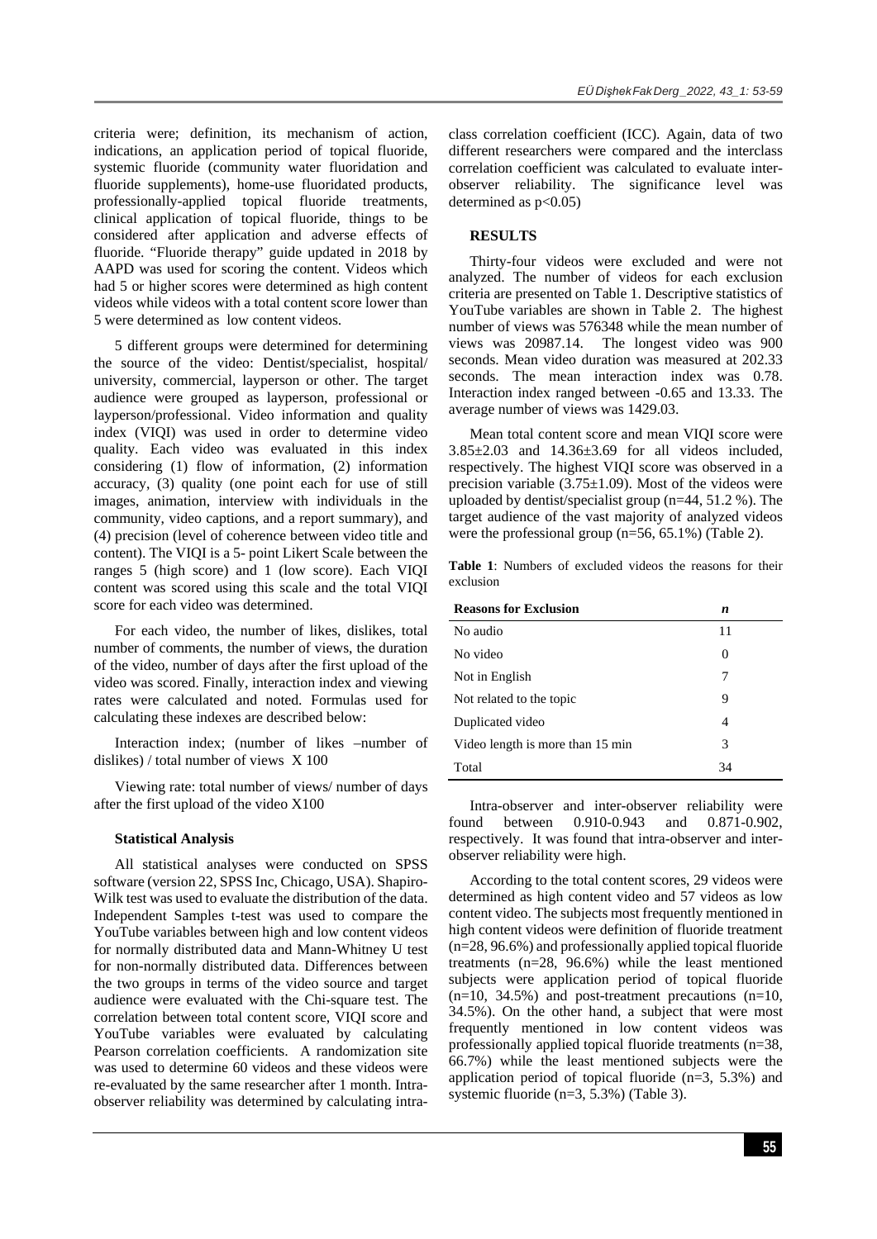criteria were; definition, its mechanism of action, indications, an application period of topical fluoride, systemic fluoride (community water fluoridation and fluoride supplements), home-use fluoridated products, professionally-applied topical fluoride treatments, clinical application of topical fluoride, things to be considered after application and adverse effects of fluoride. "Fluoride therapy" guide updated in 2018 by AAPD was used for scoring the content. Videos which had 5 or higher scores were determined as high content videos while videos with a total content score lower than 5 were determined as low content videos.

5 different groups were determined for determining the source of the video: Dentist/specialist, hospital/ university, commercial, layperson or other. The target audience were grouped as layperson, professional or layperson/professional. Video information and quality index (VIQI) was used in order to determine video quality. Each video was evaluated in this index considering (1) flow of information, (2) information accuracy, (3) quality (one point each for use of still images, animation, interview with individuals in the community, video captions, and a report summary), and (4) precision (level of coherence between video title and content). The VIQI is a 5- point Likert Scale between the ranges 5 (high score) and 1 (low score). Each VIQI content was scored using this scale and the total VIQI score for each video was determined.

For each video, the number of likes, dislikes, total number of comments, the number of views, the duration of the video, number of days after the first upload of the video was scored. Finally, interaction index and viewing rates were calculated and noted. Formulas used for calculating these indexes are described below:

Interaction index; (number of likes –number of dislikes) / total number of views X 100

Viewing rate: total number of views/ number of days after the first upload of the video X100

#### **Statistical Analysis**

All statistical analyses were conducted on SPSS software (version 22, SPSS Inc, Chicago, USA). Shapiro-Wilk test was used to evaluate the distribution of the data. Independent Samples t-test was used to compare the YouTube variables between high and low content videos for normally distributed data and Mann-Whitney U test for non-normally distributed data. Differences between the two groups in terms of the video source and target audience were evaluated with the Chi-square test. The correlation between total content score, VIQI score and YouTube variables were evaluated by calculating Pearson correlation coefficients. A randomization site was used to determine 60 videos and these videos were re-evaluated by the same researcher after 1 month. Intraobserver reliability was determined by calculating intraclass correlation coefficient (ICC). Again, data of two different researchers were compared and the interclass correlation coefficient was calculated to evaluate interobserver reliability. The significance level was determined as  $p<0.05$ )

## **RESULTS**

Thirty-four videos were excluded and were not analyzed. The number of videos for each exclusion criteria are presented on Table 1. Descriptive statistics of YouTube variables are shown in Table 2. The highest number of views was 576348 while the mean number of views was 20987.14. The longest video was 900 seconds. Mean video duration was measured at 202.33 seconds. The mean interaction index was 0.78. Interaction index ranged between -0.65 and 13.33. The average number of views was 1429.03.

Mean total content score and mean VIQI score were 3.85±2.03 and 14.36±3.69 for all videos included, respectively. The highest VIQI score was observed in a precision variable  $(3.75\pm1.09)$ . Most of the videos were uploaded by dentist/specialist group (n=44, 51.2 %). The target audience of the vast majority of analyzed videos were the professional group (n=56, 65.1%) (Table 2).

**Table 1**: Numbers of excluded videos the reasons for their exclusion

| <b>Reasons for Exclusion</b>     | n        |  |
|----------------------------------|----------|--|
| No audio                         | 11       |  |
| No video                         | $\theta$ |  |
| Not in English                   | 7        |  |
| Not related to the topic         | 9        |  |
| Duplicated video                 | 4        |  |
| Video length is more than 15 min | 3        |  |
| Total                            | 34       |  |

Intra-observer and inter-observer reliability were found between 0.910-0.943 and 0.871-0.902, respectively. It was found that intra-observer and interobserver reliability were high.

According to the total content scores, 29 videos were determined as high content video and 57 videos as low content video. The subjects most frequently mentioned in high content videos were definition of fluoride treatment (n=28, 96.6%) and professionally applied topical fluoride treatments (n=28, 96.6%) while the least mentioned subjects were application period of topical fluoride  $(n=10, 34.5%)$  and post-treatment precautions  $(n=10, 10)$ 34.5%). On the other hand, a subject that were most frequently mentioned in low content videos was professionally applied topical fluoride treatments (n=38, 66.7%) while the least mentioned subjects were the application period of topical fluoride  $(n=3, 5.3%)$  and systemic fluoride (n=3, 5.3%) (Table 3).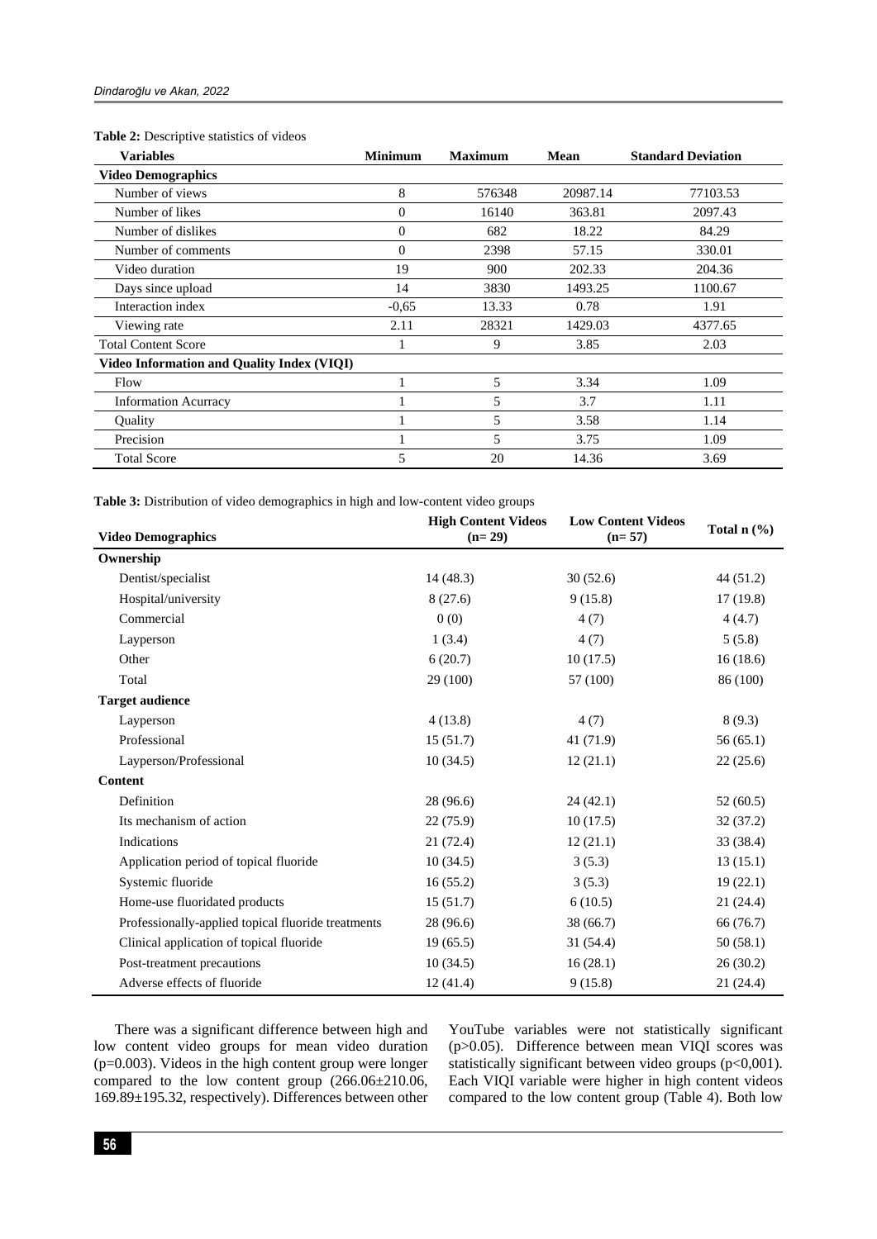### **Table 2:** Descriptive statistics of videos

| <b>Variables</b>                                  | <b>Minimum</b><br><b>Maximum</b> |        | <b>Mean</b> | <b>Standard Deviation</b> |
|---------------------------------------------------|----------------------------------|--------|-------------|---------------------------|
| <b>Video Demographics</b>                         |                                  |        |             |                           |
| Number of views                                   | 8                                | 576348 | 20987.14    | 77103.53                  |
| Number of likes                                   | 0                                | 16140  | 363.81      | 2097.43                   |
| Number of dislikes                                | 0                                | 682    | 18.22       | 84.29                     |
| Number of comments                                | $\Omega$                         | 2398   | 57.15       | 330.01                    |
| Video duration                                    | 19                               | 900    | 202.33      | 204.36                    |
| Days since upload                                 | 14                               | 3830   | 1493.25     | 1100.67                   |
| Interaction index                                 | $-0.65$                          | 13.33  | 0.78        | 1.91                      |
| Viewing rate                                      | 2.11                             | 28321  | 1429.03     | 4377.65                   |
| <b>Total Content Score</b>                        |                                  | 9      | 3.85        | 2.03                      |
| <b>Video Information and Quality Index (VIQI)</b> |                                  |        |             |                           |
| Flow                                              |                                  | 5      | 3.34        | 1.09                      |
| <b>Information Acurracy</b>                       |                                  | 5      | 3.7         | 1.11                      |
| Quality                                           |                                  | 5      | 3.58        | 1.14                      |
| Precision                                         |                                  | 5      | 3.75        | 1.09                      |
| <b>Total Score</b>                                | 5                                | 20     | 14.36       | 3.69                      |

**Table 3:** Distribution of video demographics in high and low-content video groups

| <b>Video Demographics</b>                          | <b>High Content Videos</b><br>$(n=29)$ | <b>Low Content Videos</b><br>$(n=57)$ | Total $n$ (%) |  |
|----------------------------------------------------|----------------------------------------|---------------------------------------|---------------|--|
| Ownership                                          |                                        |                                       |               |  |
| Dentist/specialist                                 | 14(48.3)                               | 30(52.6)                              | 44(51.2)      |  |
| Hospital/university                                | 8(27.6)                                | 9(15.8)                               | 17(19.8)      |  |
| Commercial                                         | 0(0)                                   | 4(7)                                  | 4(4.7)        |  |
| Layperson                                          | 1(3.4)                                 | 4(7)                                  | 5(5.8)        |  |
| Other                                              | 6(20.7)                                | 10(17.5)                              | 16(18.6)      |  |
| Total                                              | 29 (100)                               | 57 (100)                              | 86 (100)      |  |
| <b>Target audience</b>                             |                                        |                                       |               |  |
| Layperson                                          | 4(13.8)                                | 4(7)                                  | 8(9.3)        |  |
| Professional                                       | 15(51.7)                               | 41 (71.9)                             | 56(65.1)      |  |
| Layperson/Professional                             | 10(34.5)                               | 12(21.1)                              | 22(25.6)      |  |
| <b>Content</b>                                     |                                        |                                       |               |  |
| Definition                                         | 28 (96.6)                              | 24(42.1)                              | 52(60.5)      |  |
| Its mechanism of action                            | 22(75.9)                               | 10(17.5)                              | 32(37.2)      |  |
| Indications                                        | 21(72.4)                               | 12(21.1)                              | 33 (38.4)     |  |
| Application period of topical fluoride             | 10(34.5)                               | 3(5.3)                                | 13(15.1)      |  |
| Systemic fluoride                                  | 16(55.2)                               | 3(5.3)                                | 19(22.1)      |  |
| Home-use fluoridated products                      | 15(51.7)                               | 6(10.5)                               | 21(24.4)      |  |
| Professionally-applied topical fluoride treatments | 28(96.6)                               | 38 (66.7)                             | 66 (76.7)     |  |
| Clinical application of topical fluoride           | 19(65.5)                               | 31(54.4)                              | 50(58.1)      |  |
| Post-treatment precautions                         | 10(34.5)                               | 16(28.1)                              | 26(30.2)      |  |
| Adverse effects of fluoride                        | 12(41.4)                               | 9(15.8)                               | 21(24.4)      |  |

There was a significant difference between high and low content video groups for mean video duration (p=0.003). Videos in the high content group were longer compared to the low content group (266.06±210.06, 169.89±195.32, respectively). Differences between other

YouTube variables were not statistically significant (p>0.05). Difference between mean VIQI scores was statistically significant between video groups (p<0,001). Each VIQI variable were higher in high content videos compared to the low content group (Table 4). Both low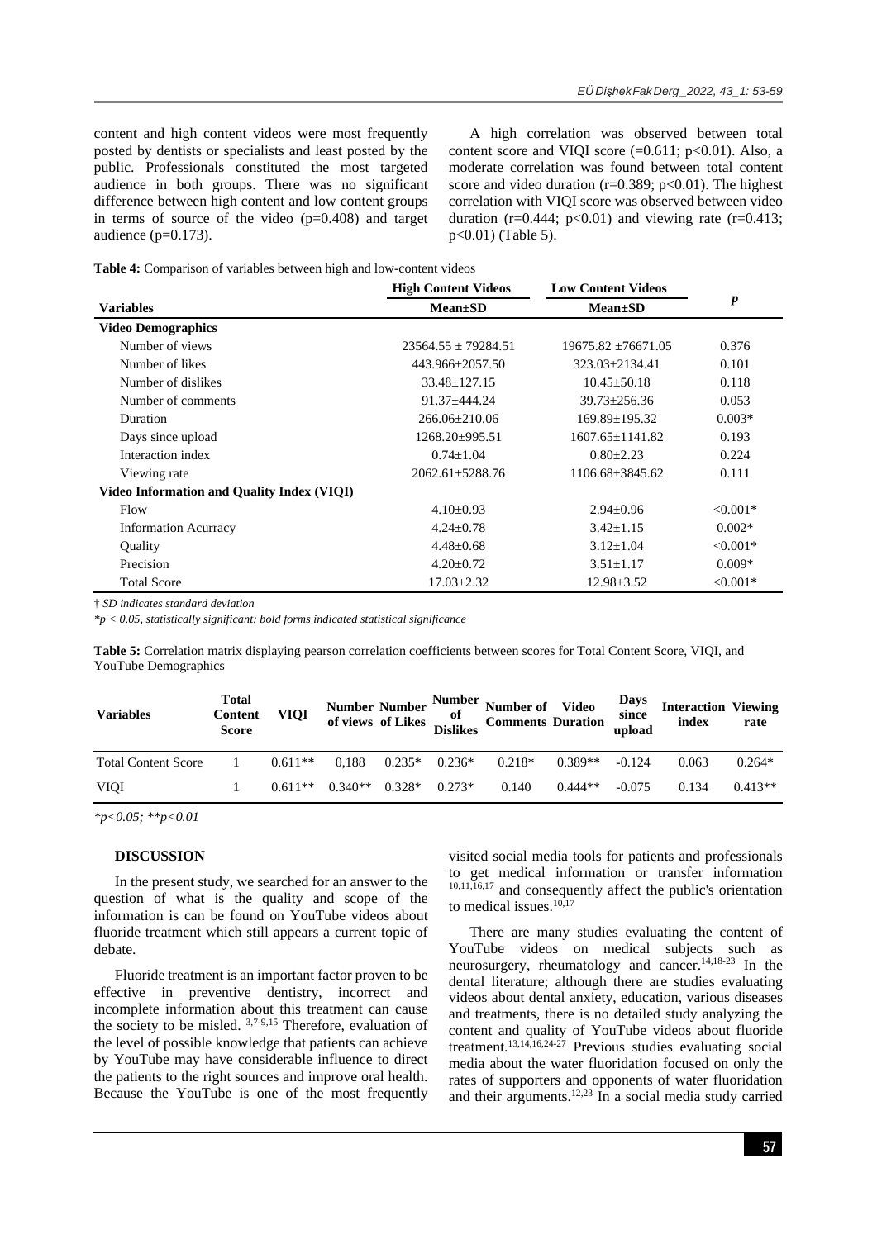content and high content videos were most frequently posted by dentists or specialists and least posted by the public. Professionals constituted the most targeted audience in both groups. There was no significant difference between high content and low content groups in terms of source of the video (p=0.408) and target audience  $(p=0.173)$ .

A high correlation was observed between total content score and VIQI score  $(=0.611; p<0.01)$ . Also, a moderate correlation was found between total content score and video duration ( $r=0.389$ ;  $p<0.01$ ). The highest correlation with VIQI score was observed between video duration ( $r=0.444$ ;  $p<0.01$ ) and viewing rate ( $r=0.413$ ; p<0.01) (Table 5).

**Table 4:** Comparison of variables between high and low-content videos

|                                            | <b>High Content Videos</b> | <b>Low Content Videos</b> | $\boldsymbol{p}$ |  |
|--------------------------------------------|----------------------------|---------------------------|------------------|--|
| <b>Variables</b>                           | $Mean \pm SD$              | $Mean \pm SD$             |                  |  |
| <b>Video Demographics</b>                  |                            |                           |                  |  |
| Number of views                            | $23564.55 + 79284.51$      | $19675.82 + 76671.05$     | 0.376            |  |
| Number of likes                            | 443.966±2057.50            | $323.03 + 2134.41$        | 0.101            |  |
| Number of dislikes                         | $33.48 \pm 127.15$         | $10.45 \pm 50.18$         | 0.118            |  |
| Number of comments                         | $91.37 \pm 444.24$         | $39.73 \pm 256.36$        | 0.053            |  |
| <b>Duration</b>                            | $266.06 \pm 210.06$        | $169.89 \pm 195.32$       | $0.003*$         |  |
| Days since upload                          | $1268.20 \pm 995.51$       | $1607.65 + 1141.82$       | 0.193            |  |
| Interaction index                          | $0.74 \pm 1.04$            | $0.80 \pm 2.23$           | 0.224            |  |
| Viewing rate                               | $2062.61 \pm 5288.76$      | 1106.68±3845.62           | 0.111            |  |
| Video Information and Quality Index (VIQI) |                            |                           |                  |  |
| Flow                                       | $4.10\pm0.93$              | $2.94 \pm 0.96$           | $< 0.001*$       |  |
| <b>Information Acurracy</b>                | $4.24 \pm 0.78$            | $3.42 \pm 1.15$           | $0.002*$         |  |
| <b>Ouality</b>                             | $4.48 \pm 0.68$            | $3.12 \pm 1.04$           | $< 0.001*$       |  |
| Precision                                  | $4.20 \pm 0.72$            | $3.51 \pm 1.17$           | $0.009*$         |  |
| <b>Total Score</b>                         | $17.03 \pm 2.32$           | $12.98 \pm 3.52$          | $< 0.001*$       |  |

† *SD indicates standard deviation*

*\*p < 0.05, statistically significant; bold forms indicated statistical significance*

**Table 5:** Correlation matrix displaying pearson correlation coefficients between scores for Total Content Score, VIQI, and YouTube Demographics

| <b>Variables</b>           | Total<br>Content<br><b>Score</b> | <b>VIQI</b> |           |          |          | Number Number Number<br>of video<br>of views of Likes Dislikes Comments Duration |           | <b>Days</b><br>since<br>upload | <b>Interaction Viewing</b><br>index | rate      |
|----------------------------|----------------------------------|-------------|-----------|----------|----------|----------------------------------------------------------------------------------|-----------|--------------------------------|-------------------------------------|-----------|
| <b>Total Content Score</b> |                                  | $0.611**$   | 0.188     | $0.235*$ | $0.236*$ | $0.218*$                                                                         | $0.389**$ | $-0.124$                       | 0.063                               | $0.264*$  |
| <b>VIQI</b>                |                                  | $0.611**$   | $0.340**$ | $0.328*$ | $0.273*$ | 0.140                                                                            | $0.444**$ | $-0.075$                       | 0.134                               | $0.413**$ |

*\*p<0.05; \*\*p<0.01*

#### **DISCUSSION**

In the present study, we searched for an answer to the question of what is the quality and scope of the information is can be found on YouTube videos about fluoride treatment which still appears a current topic of debate.

Fluoride treatment is an important factor proven to be effective in preventive dentistry, incorrect and incomplete information about this treatment can cause the society to be misled. 3,7-9,15 Therefore, evaluation of the level of possible knowledge that patients can achieve by YouTube may have considerable influence to direct the patients to the right sources and improve oral health. Because the YouTube is one of the most frequently visited social media tools for patients and professionals to get medical information or transfer information 10,11,16,17 and consequently affect the public's orientation to medical issues. 10,17

There are many studies evaluating the content of YouTube videos on medical subjects such as neurosurgery, rheumatology and cancer. 14,18-23 In the dental literature; although there are studies evaluating videos about dental anxiety, education, various diseases and treatments, there is no detailed study analyzing the content and quality of YouTube videos about fluoride treatment. 13,14,16,24-27 Previous studies evaluating social media about the water fluoridation focused on only the rates of supporters and opponents of water fluoridation and their arguments. 12,23 In a social media study carried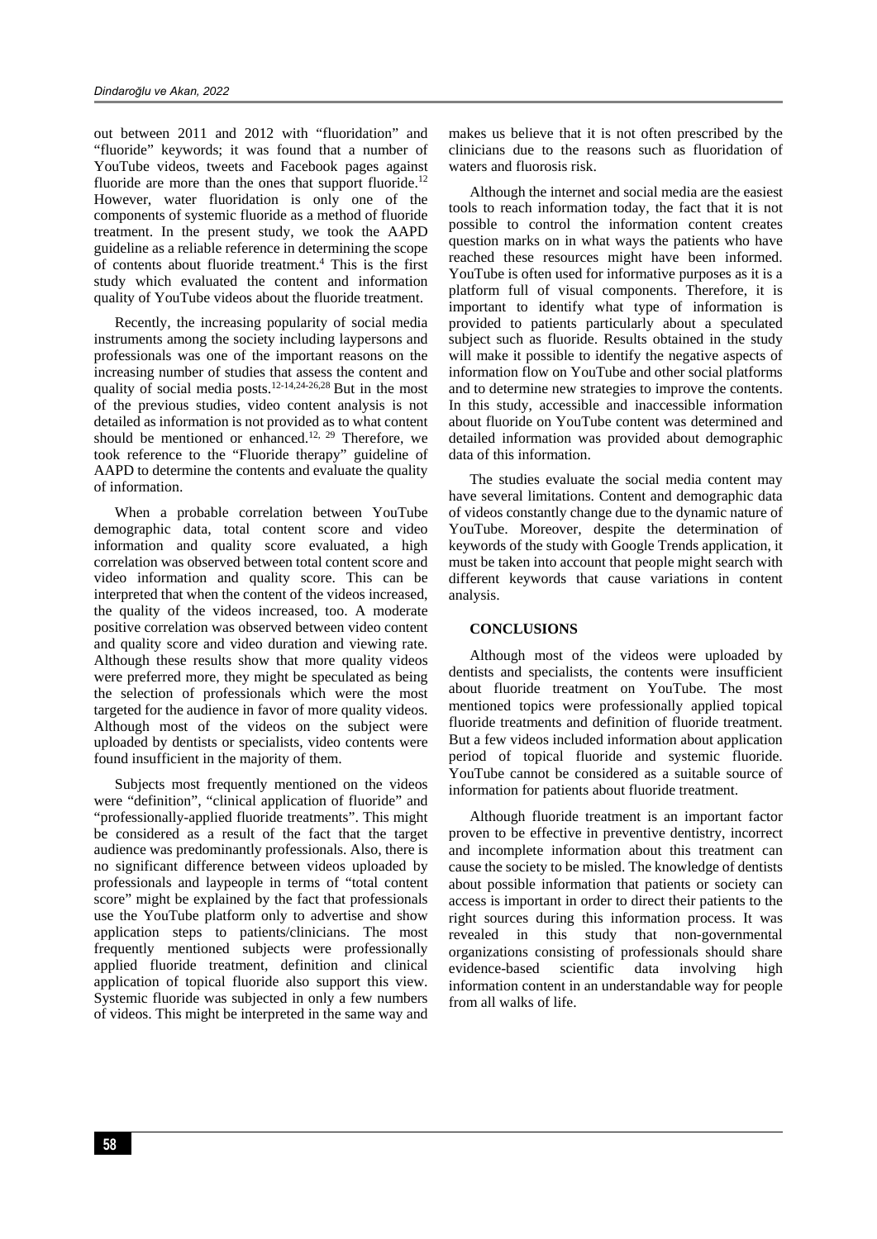out between 2011 and 2012 with "fluoridation" and "fluoride" keywords; it was found that a number of YouTube videos, tweets and Facebook pages against fluoride are more than the ones that support fluoride.<sup>12</sup> However, water fluoridation is only one of the components of systemic fluoride as a method of fluoride treatment. In the present study, we took the AAPD guideline as a reliable reference in determining the scope of contents about fluoride treatment. <sup>4</sup> This is the first study which evaluated the content and information quality of YouTube videos about the fluoride treatment.

Recently, the increasing popularity of social media instruments among the society including laypersons and professionals was one of the important reasons on the increasing number of studies that assess the content and quality of social media posts. 12-14,24-26,28 But in the most of the previous studies, video content analysis is not detailed as information is not provided as to what content should be mentioned or enhanced.<sup>12, 29</sup> Therefore, we took reference to the "Fluoride therapy" guideline of AAPD to determine the contents and evaluate the quality of information.

When a probable correlation between YouTube demographic data, total content score and video information and quality score evaluated, a high correlation was observed between total content score and video information and quality score. This can be interpreted that when the content of the videos increased, the quality of the videos increased, too. A moderate positive correlation was observed between video content and quality score and video duration and viewing rate. Although these results show that more quality videos were preferred more, they might be speculated as being the selection of professionals which were the most targeted for the audience in favor of more quality videos. Although most of the videos on the subject were uploaded by dentists or specialists, video contents were found insufficient in the majority of them.

Subjects most frequently mentioned on the videos were "definition", "clinical application of fluoride" and "professionally-applied fluoride treatments". This might be considered as a result of the fact that the target audience was predominantly professionals. Also, there is no significant difference between videos uploaded by professionals and laypeople in terms of "total content score" might be explained by the fact that professionals use the YouTube platform only to advertise and show application steps to patients/clinicians. The most frequently mentioned subjects were professionally applied fluoride treatment, definition and clinical application of topical fluoride also support this view. Systemic fluoride was subjected in only a few numbers of videos. This might be interpreted in the same way and makes us believe that it is not often prescribed by the clinicians due to the reasons such as fluoridation of waters and fluorosis risk.

Although the internet and social media are the easiest tools to reach information today, the fact that it is not possible to control the information content creates question marks on in what ways the patients who have reached these resources might have been informed. YouTube is often used for informative purposes as it is a platform full of visual components. Therefore, it is important to identify what type of information is provided to patients particularly about a speculated subject such as fluoride. Results obtained in the study will make it possible to identify the negative aspects of information flow on YouTube and other social platforms and to determine new strategies to improve the contents. In this study, accessible and inaccessible information about fluoride on YouTube content was determined and detailed information was provided about demographic data of this information.

The studies evaluate the social media content may have several limitations. Content and demographic data of videos constantly change due to the dynamic nature of YouTube. Moreover, despite the determination of keywords of the study with Google Trends application, it must be taken into account that people might search with different keywords that cause variations in content analysis.

#### **CONCLUSIONS**

Although most of the videos were uploaded by dentists and specialists, the contents were insufficient about fluoride treatment on YouTube. The most mentioned topics were professionally applied topical fluoride treatments and definition of fluoride treatment. But a few videos included information about application period of topical fluoride and systemic fluoride. YouTube cannot be considered as a suitable source of information for patients about fluoride treatment.

Although fluoride treatment is an important factor proven to be effective in preventive dentistry, incorrect and incomplete information about this treatment can cause the society to be misled. The knowledge of dentists about possible information that patients or society can access is important in order to direct their patients to the right sources during this information process. It was revealed in this study that non-governmental organizations consisting of professionals should share evidence-based scientific data involving high information content in an understandable way for people from all walks of life.